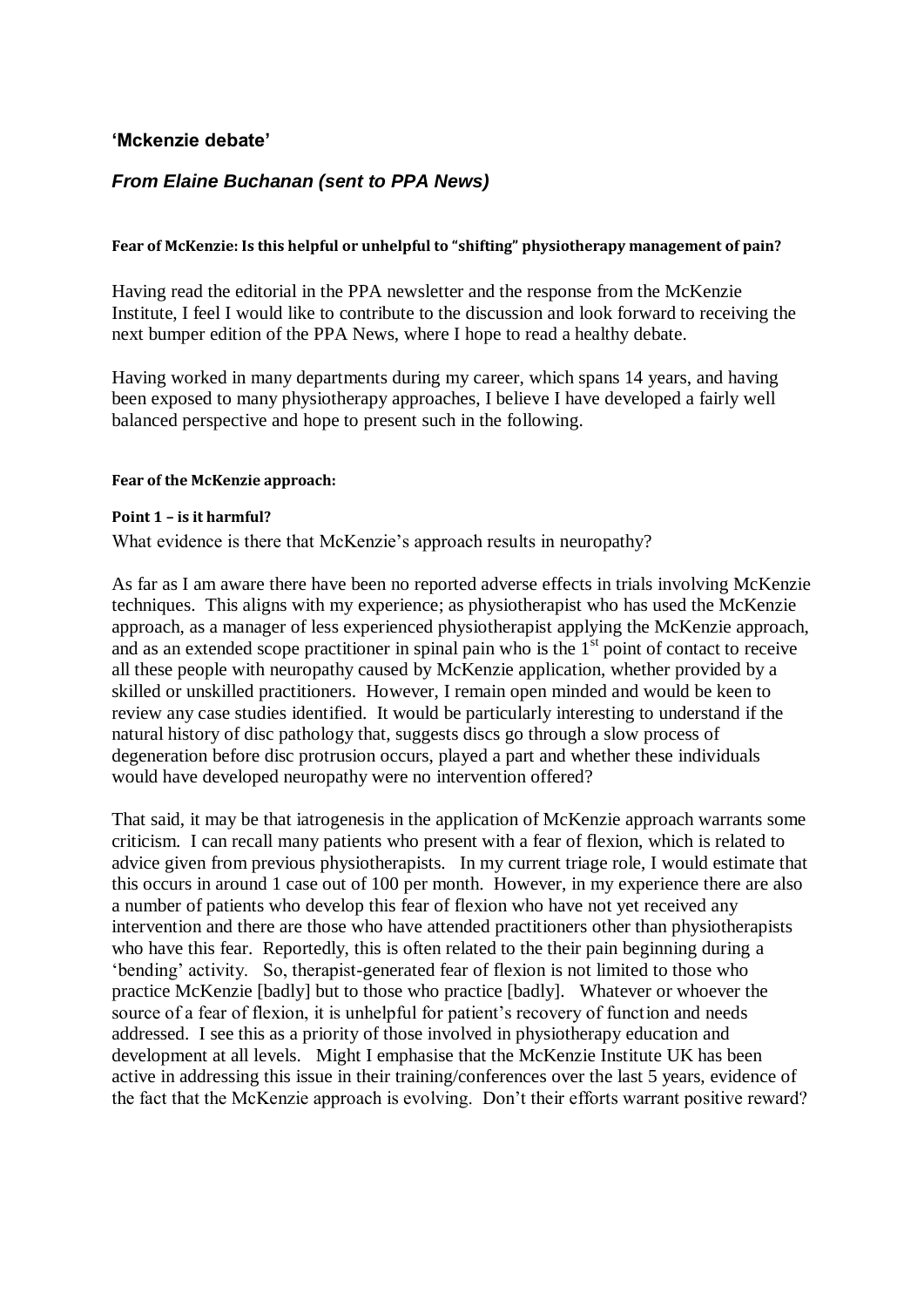## **'Mckenzie debate'**

# *From Elaine Buchanan (sent to PPA News)*

## **Fear of McKenzie: Is this helpful or unhelpful to "shifting" physiotherapy management of pain?**

Having read the editorial in the PPA newsletter and the response from the McKenzie Institute, I feel I would like to contribute to the discussion and look forward to receiving the next bumper edition of the PPA News, where I hope to read a healthy debate.

Having worked in many departments during my career, which spans 14 years, and having been exposed to many physiotherapy approaches, I believe I have developed a fairly well balanced perspective and hope to present such in the following.

#### **Fear of the McKenzie approach:**

#### **Point 1 – is it harmful?**

What evidence is there that McKenzie's approach results in neuropathy?

As far as I am aware there have been no reported adverse effects in trials involving McKenzie techniques. This aligns with my experience; as physiotherapist who has used the McKenzie approach, as a manager of less experienced physiotherapist applying the McKenzie approach, and as an extended scope practitioner in spinal pain who is the  $1<sup>st</sup>$  point of contact to receive all these people with neuropathy caused by McKenzie application, whether provided by a skilled or unskilled practitioners. However, I remain open minded and would be keen to review any case studies identified. It would be particularly interesting to understand if the natural history of disc pathology that, suggests discs go through a slow process of degeneration before disc protrusion occurs, played a part and whether these individuals would have developed neuropathy were no intervention offered?

That said, it may be that iatrogenesis in the application of McKenzie approach warrants some criticism. I can recall many patients who present with a fear of flexion, which is related to advice given from previous physiotherapists. In my current triage role, I would estimate that this occurs in around 1 case out of 100 per month. However, in my experience there are also a number of patients who develop this fear of flexion who have not yet received any intervention and there are those who have attended practitioners other than physiotherapists who have this fear. Reportedly, this is often related to the their pain beginning during a 'bending' activity. So, therapist-generated fear of flexion is not limited to those who practice McKenzie [badly] but to those who practice [badly]. Whatever or whoever the source of a fear of flexion, it is unhelpful for patient's recovery of function and needs addressed. I see this as a priority of those involved in physiotherapy education and development at all levels. Might I emphasise that the McKenzie Institute UK has been active in addressing this issue in their training/conferences over the last 5 years, evidence of the fact that the McKenzie approach is evolving. Don't their efforts warrant positive reward?